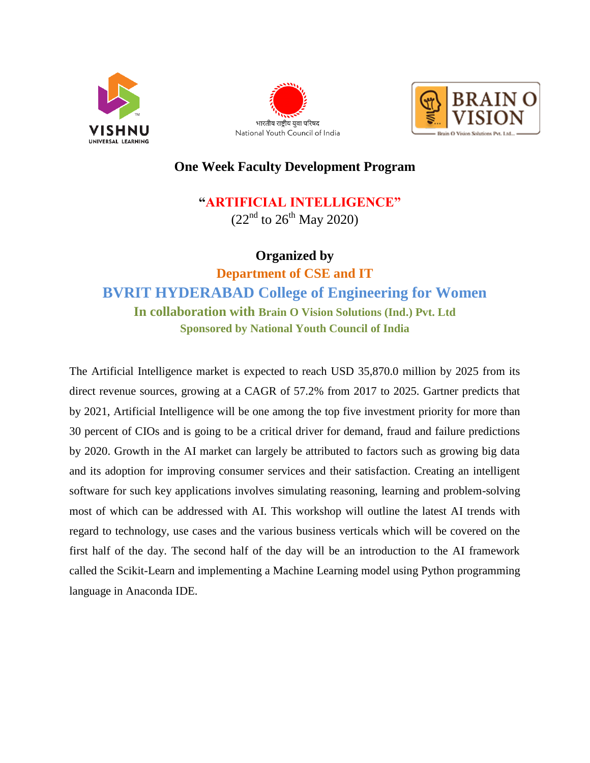





## **One Week Faculty Development Program**

## **"ARTIFICIAL INTELLIGENCE"**

 $(22<sup>nd</sup>$  to  $26<sup>th</sup>$  May 2020)

## **Organized by**

**Department of CSE and IT BVRIT HYDERABAD College of Engineering for Women In collaboration with Brain O Vision Solutions (Ind.) Pvt. Ltd Sponsored by National Youth Council of India**

The Artificial Intelligence market is expected to reach USD 35,870.0 million by 2025 from its direct revenue sources, growing at a CAGR of 57.2% from 2017 to 2025. Gartner predicts that by 2021, Artificial Intelligence will be one among the top five investment priority for more than 30 percent of CIOs and is going to be a critical driver for demand, fraud and failure predictions by 2020. Growth in the AI market can largely be attributed to factors such as growing big data and its adoption for improving consumer services and their satisfaction. Creating an intelligent software for such key applications involves simulating reasoning, learning and problem-solving most of which can be addressed with AI. This workshop will outline the latest AI trends with regard to technology, use cases and the various business verticals which will be covered on the first half of the day. The second half of the day will be an introduction to the AI framework called the Scikit-Learn and implementing a Machine Learning model using Python programming language in Anaconda IDE.